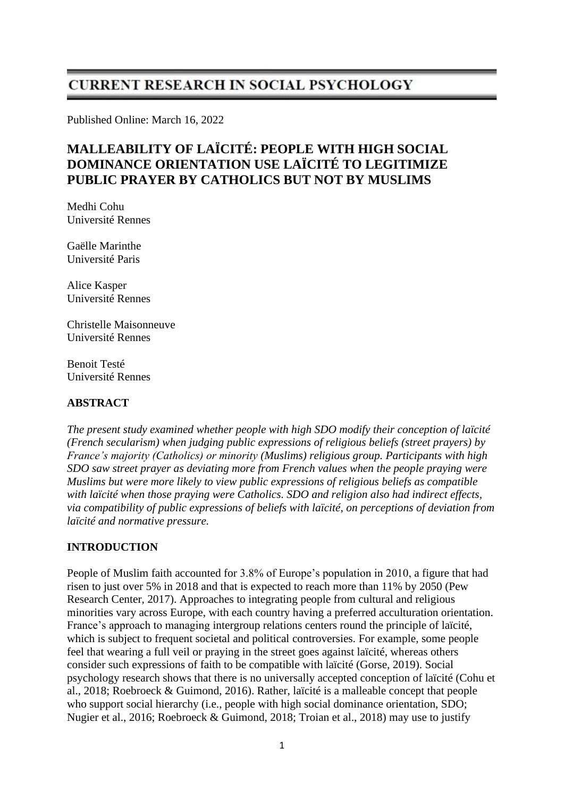# **CURRENT RESEARCH IN SOCIAL PSYCHOLOGY**

Published Online: March 16, 2022

# **MALLEABILITY OF LAÏCITÉ: PEOPLE WITH HIGH SOCIAL DOMINANCE ORIENTATION USE LAÏCITÉ TO LEGITIMIZE PUBLIC PRAYER BY CATHOLICS BUT NOT BY MUSLIMS**

Medhi Cohu Université Rennes

Gaëlle Marinthe Université Paris

Alice Kasper Université Rennes

Christelle Maisonneuve Université Rennes

Benoit Testé Université Rennes

# **ABSTRACT**

*The present study examined whether people with high SDO modify their conception of laïcité (French secularism) when judging public expressions of religious beliefs (street prayers) by France's majority (Catholics) or minority (Muslims) religious group. Participants with high SDO saw street prayer as deviating more from French values when the people praying were Muslims but were more likely to view public expressions of religious beliefs as compatible with laïcité when those praying were Catholics. SDO and religion also had indirect effects, via compatibility of public expressions of beliefs with laïcité, on perceptions of deviation from laïcité and normative pressure.*

# **INTRODUCTION**

People of Muslim faith accounted for 3.8% of Europe's population in 2010, a figure that had risen to just over 5% in 2018 and that is expected to reach more than 11% by 2050 (Pew Research Center, 2017). Approaches to integrating people from cultural and religious minorities vary across Europe, with each country having a preferred acculturation orientation. France's approach to managing intergroup relations centers round the principle of laïcité, which is subject to frequent societal and political controversies. For example, some people feel that wearing a full veil or praying in the street goes against laïcité, whereas others consider such expressions of faith to be compatible with laïcité (Gorse, 2019). Social psychology research shows that there is no universally accepted conception of laïcité (Cohu et al., 2018; Roebroeck & Guimond, 2016). Rather, laïcité is a malleable concept that people who support social hierarchy (i.e., people with high social dominance orientation, SDO; Nugier et al., 2016; Roebroeck & Guimond, 2018; Troian et al., 2018) may use to justify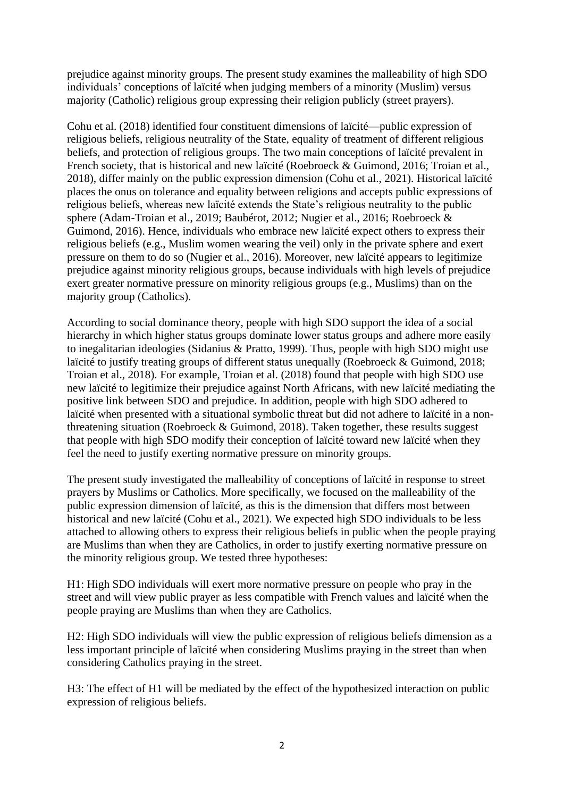prejudice against minority groups. The present study examines the malleability of high SDO individuals' conceptions of laïcité when judging members of a minority (Muslim) versus majority (Catholic) religious group expressing their religion publicly (street prayers).

Cohu et al. (2018) identified four constituent dimensions of laïcité—public expression of religious beliefs, religious neutrality of the State, equality of treatment of different religious beliefs, and protection of religious groups. The two main conceptions of laïcité prevalent in French society, that is historical and new laïcité (Roebroeck & Guimond, 2016; Troian et al., 2018), differ mainly on the public expression dimension (Cohu et al., 2021). Historical laïcité places the onus on tolerance and equality between religions and accepts public expressions of religious beliefs, whereas new laïcité extends the State's religious neutrality to the public sphere (Adam-Troian et al., 2019; Baubérot, 2012; Nugier et al., 2016; Roebroeck & Guimond, 2016). Hence, individuals who embrace new laïcité expect others to express their religious beliefs (e.g., Muslim women wearing the veil) only in the private sphere and exert pressure on them to do so (Nugier et al., 2016). Moreover, new laïcité appears to legitimize prejudice against minority religious groups, because individuals with high levels of prejudice exert greater normative pressure on minority religious groups (e.g., Muslims) than on the majority group (Catholics).

According to social dominance theory, people with high SDO support the idea of a social hierarchy in which higher status groups dominate lower status groups and adhere more easily to inegalitarian ideologies (Sidanius & Pratto, 1999). Thus, people with high SDO might use laïcité to justify treating groups of different status unequally (Roebroeck & Guimond, 2018; Troian et al., 2018). For example, Troian et al. (2018) found that people with high SDO use new laïcité to legitimize their prejudice against North Africans, with new laïcité mediating the positive link between SDO and prejudice. In addition, people with high SDO adhered to laïcité when presented with a situational symbolic threat but did not adhere to laïcité in a nonthreatening situation (Roebroeck  $& Guimond, 2018$ ). Taken together, these results suggest that people with high SDO modify their conception of laïcité toward new laïcité when they feel the need to justify exerting normative pressure on minority groups.

The present study investigated the malleability of conceptions of laïcité in response to street prayers by Muslims or Catholics. More specifically, we focused on the malleability of the public expression dimension of laïcité, as this is the dimension that differs most between historical and new laïcité (Cohu et al., 2021). We expected high SDO individuals to be less attached to allowing others to express their religious beliefs in public when the people praying are Muslims than when they are Catholics, in order to justify exerting normative pressure on the minority religious group. We tested three hypotheses:

H1: High SDO individuals will exert more normative pressure on people who pray in the street and will view public prayer as less compatible with French values and laïcité when the people praying are Muslims than when they are Catholics.

H2: High SDO individuals will view the public expression of religious beliefs dimension as a less important principle of laïcité when considering Muslims praying in the street than when considering Catholics praying in the street.

H3: The effect of H1 will be mediated by the effect of the hypothesized interaction on public expression of religious beliefs.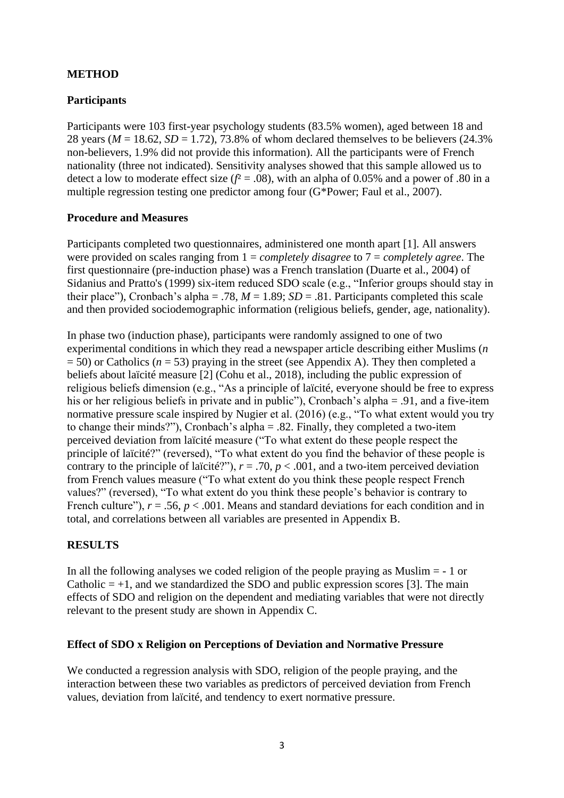# **METHOD**

# **Participants**

Participants were 103 first-year psychology students (83.5% women), aged between 18 and 28 years ( $M = 18.62$ ,  $SD = 1.72$ ), 73.8% of whom declared themselves to be believers (24.3%) non-believers, 1.9% did not provide this information). All the participants were of French nationality (three not indicated). Sensitivity analyses showed that this sample allowed us to detect a low to moderate effect size  $(f^2 = .08)$ , with an alpha of 0.05% and a power of .80 in a multiple regression testing one predictor among four (G\*Power; Faul et al., 2007).

# **Procedure and Measures**

Participants completed two questionnaires, administered one month apart [1]. All answers were provided on scales ranging from 1 = *completely disagree* to 7 = *completely agree*. The first questionnaire (pre-induction phase) was a French translation (Duarte et al., 2004) of Sidanius and Pratto's (1999) six-item reduced SDO scale (e.g., "Inferior groups should stay in their place"), Cronbach's alpha = .78,  $M = 1.89$ ;  $SD = .81$ . Participants completed this scale and then provided sociodemographic information (religious beliefs, gender, age, nationality).

In phase two (induction phase), participants were randomly assigned to one of two experimental conditions in which they read a newspaper article describing either Muslims (*n*  $= 50$ ) or Catholics ( $n = 53$ ) praying in the street (see Appendix A). They then completed a beliefs about laïcité measure [2] (Cohu et al., 2018), including the public expression of religious beliefs dimension (e.g., "As a principle of laïcité, everyone should be free to express his or her religious beliefs in private and in public"), Cronbach's alpha = .91, and a five-item normative pressure scale inspired by Nugier et al. (2016) (e.g., "To what extent would you try to change their minds?"), Cronbach's alpha = .82. Finally, they completed a two-item perceived deviation from laïcité measure ("To what extent do these people respect the principle of laïcité?" (reversed), "To what extent do you find the behavior of these people is contrary to the principle of laïcité?"),  $r = .70$ ,  $p < .001$ , and a two-item perceived deviation from French values measure ("To what extent do you think these people respect French values?" (reversed), "To what extent do you think these people's behavior is contrary to French culture"),  $r = .56$ ,  $p < .001$ . Means and standard deviations for each condition and in total, and correlations between all variables are presented in Appendix B.

# **RESULTS**

In all the following analyses we coded religion of the people praying as Muslim  $= -1$  or Catholic  $= +1$ , and we standardized the SDO and public expression scores [3]. The main effects of SDO and religion on the dependent and mediating variables that were not directly relevant to the present study are shown in Appendix C.

# **Effect of SDO x Religion on Perceptions of Deviation and Normative Pressure**

We conducted a regression analysis with SDO, religion of the people praying, and the interaction between these two variables as predictors of perceived deviation from French values, deviation from laïcité, and tendency to exert normative pressure.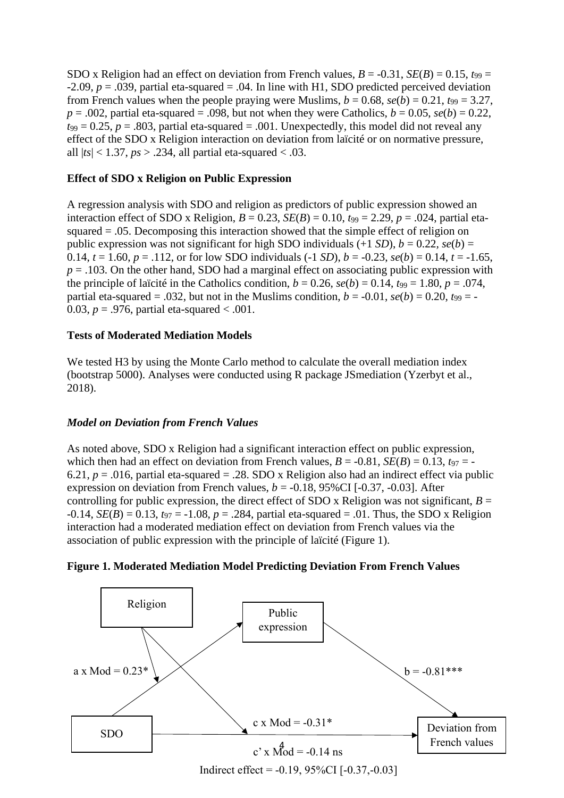SDO x Religion had an effect on deviation from French values,  $B = -0.31$ ,  $SE(B) = 0.15$ ,  $t_{99} =$  $-2.09$ ,  $p = .039$ , partial eta-squared = .04. In line with H1, SDO predicted perceived deviation from French values when the people praying were Muslims,  $b = 0.68$ ,  $se(b) = 0.21$ ,  $t_{99} = 3.27$ ,  $p = .002$ , partial eta-squared = .098, but not when they were Catholics,  $b = 0.05$ ,  $se(b) = 0.22$ ,  $t_{99} = 0.25$ ,  $p = .803$ , partial eta-squared = .001. Unexpectedly, this model did not reveal any effect of the SDO x Religion interaction on deviation from laïcité or on normative pressure, all  $|ts| < 1.37$ ,  $ps > .234$ , all partial eta-squared < .03.

# **Effect of SDO x Religion on Public Expression**

A regression analysis with SDO and religion as predictors of public expression showed an interaction effect of SDO x Religion,  $B = 0.23$ ,  $SE(B) = 0.10$ ,  $t_{99} = 2.29$ ,  $p = .024$ , partial etasquared = .05. Decomposing this interaction showed that the simple effect of religion on public expression was not significant for high SDO individuals  $(+1 SD)$ ,  $b = 0.22$ ,  $se(b) =$ 0.14,  $t = 1.60$ ,  $p = .112$ , or for low SDO individuals (-1 *SD*),  $b = -0.23$ ,  $se(b) = 0.14$ ,  $t = -1.65$ ,  $p = .103$ . On the other hand, SDO had a marginal effect on associating public expression with the principle of laïcité in the Catholics condition,  $b = 0.26$ ,  $se(b) = 0.14$ ,  $t_{99} = 1.80$ ,  $p = .074$ , partial eta-squared = .032, but not in the Muslims condition,  $b = -0.01$ ,  $se(b) = 0.20$ ,  $t_{99} = -0.01$ 0.03,  $p = .976$ , partial eta-squared < .001.

# **Tests of Moderated Mediation Models**

We tested H<sub>3</sub> by using the Monte Carlo method to calculate the overall mediation index (bootstrap 5000). Analyses were conducted using R package JSmediation (Yzerbyt et al., 2018).

# *Model on Deviation from French Values*

As noted above, SDO x Religion had a significant interaction effect on public expression, which then had an effect on deviation from French values,  $B = -0.81$ ,  $SE(B) = 0.13$ ,  $t_{97} = -0.81$ 6.21,  $p = .016$ , partial eta-squared = .28. SDO x Religion also had an indirect effect via public expression on deviation from French values,  $b = -0.18$ , 95%CI  $[-0.37, -0.03]$ . After controlling for public expression, the direct effect of SDO x Religion was not significant,  $B =$  $-0.14$ , *SE(B)* = 0.13,  $t_{97}$  =  $-1.08$ , *p* = .284, partial eta-squared = .01. Thus, the SDO x Religion interaction had a moderated mediation effect on deviation from French values via the association of public expression with the principle of laïcité (Figure 1).



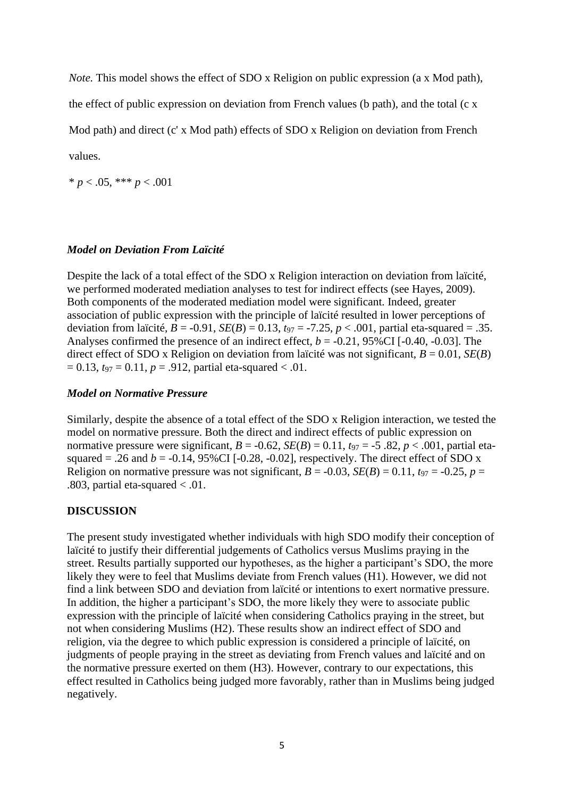*Note.* This model shows the effect of SDO x Religion on public expression (a x Mod path),

the effect of public expression on deviation from French values (b path), and the total (c x

Mod path) and direct (c' x Mod path) effects of SDO x Religion on deviation from French

values.

 $* p < .05, **p < .001$ 

#### *Model on Deviation From Laïcité*

Despite the lack of a total effect of the SDO x Religion interaction on deviation from laïcité, we performed moderated mediation analyses to test for indirect effects (see Hayes, 2009). Both components of the moderated mediation model were significant. Indeed, greater association of public expression with the principle of laïcité resulted in lower perceptions of deviation from laïcité,  $B = -0.91$ ,  $SE(B) = 0.13$ ,  $t_{97} = -7.25$ ,  $p < .001$ , partial eta-squared = .35. Analyses confirmed the presence of an indirect effect,  $b = -0.21$ , 95%CI [ $-0.40$ ,  $-0.03$ ]. The direct effect of SDO x Religion on deviation from laïcité was not significant,  $B = 0.01$ , *SE(B)*  $= 0.13$ ,  $t_{97} = 0.11$ ,  $p = .912$ , partial eta-squared < .01.

#### *Model on Normative Pressure*

Similarly, despite the absence of a total effect of the SDO x Religion interaction, we tested the model on normative pressure. Both the direct and indirect effects of public expression on normative pressure were significant,  $B = -0.62$ ,  $SE(B) = 0.11$ ,  $t_{97} = -5.82$ ,  $p < .001$ , partial etasquared = .26 and  $b = -0.14$ , 95%CI [ $-0.28$ ,  $-0.02$ ], respectively. The direct effect of SDO x Religion on normative pressure was not significant,  $B = -0.03$ ,  $SE(B) = 0.11$ ,  $t_{97} = -0.25$ ,  $p =$ .803, partial eta-squared  $< .01$ .

# **DISCUSSION**

The present study investigated whether individuals with high SDO modify their conception of laïcité to justify their differential judgements of Catholics versus Muslims praying in the street. Results partially supported our hypotheses, as the higher a participant's SDO, the more likely they were to feel that Muslims deviate from French values (H1). However, we did not find a link between SDO and deviation from laïcité or intentions to exert normative pressure. In addition, the higher a participant's SDO, the more likely they were to associate public expression with the principle of laïcité when considering Catholics praying in the street, but not when considering Muslims (H2). These results show an indirect effect of SDO and religion, via the degree to which public expression is considered a principle of laïcité, on judgments of people praying in the street as deviating from French values and laïcité and on the normative pressure exerted on them (H3). However, contrary to our expectations, this effect resulted in Catholics being judged more favorably, rather than in Muslims being judged negatively.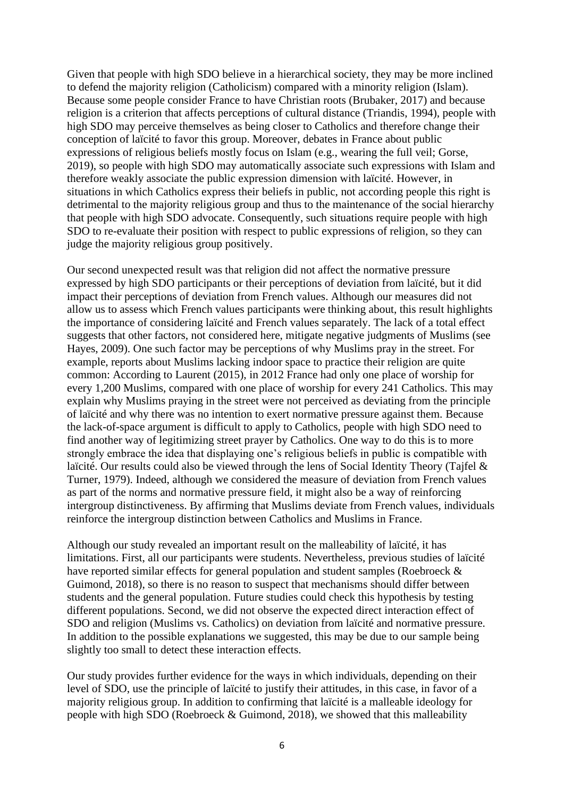Given that people with high SDO believe in a hierarchical society, they may be more inclined to defend the majority religion (Catholicism) compared with a minority religion (Islam). Because some people consider France to have Christian roots (Brubaker, 2017) and because religion is a criterion that affects perceptions of cultural distance (Triandis, 1994), people with high SDO may perceive themselves as being closer to Catholics and therefore change their conception of laïcité to favor this group. Moreover, debates in France about public expressions of religious beliefs mostly focus on Islam (e.g., wearing the full veil; Gorse, 2019), so people with high SDO may automatically associate such expressions with Islam and therefore weakly associate the public expression dimension with laïcité. However, in situations in which Catholics express their beliefs in public, not according people this right is detrimental to the majority religious group and thus to the maintenance of the social hierarchy that people with high SDO advocate. Consequently, such situations require people with high SDO to re-evaluate their position with respect to public expressions of religion, so they can judge the majority religious group positively.

Our second unexpected result was that religion did not affect the normative pressure expressed by high SDO participants or their perceptions of deviation from laïcité, but it did impact their perceptions of deviation from French values. Although our measures did not allow us to assess which French values participants were thinking about, this result highlights the importance of considering laïcité and French values separately. The lack of a total effect suggests that other factors, not considered here, mitigate negative judgments of Muslims (see Hayes, 2009). One such factor may be perceptions of why Muslims pray in the street. For example, reports about Muslims lacking indoor space to practice their religion are quite common: According to Laurent (2015), in 2012 France had only one place of worship for every 1,200 Muslims, compared with one place of worship for every 241 Catholics. This may explain why Muslims praying in the street were not perceived as deviating from the principle of laïcité and why there was no intention to exert normative pressure against them. Because the lack-of-space argument is difficult to apply to Catholics, people with high SDO need to find another way of legitimizing street prayer by Catholics. One way to do this is to more strongly embrace the idea that displaying one's religious beliefs in public is compatible with laïcité. Our results could also be viewed through the lens of Social Identity Theory (Tajfel & Turner, 1979). Indeed, although we considered the measure of deviation from French values as part of the norms and normative pressure field, it might also be a way of reinforcing intergroup distinctiveness. By affirming that Muslims deviate from French values, individuals reinforce the intergroup distinction between Catholics and Muslims in France.

Although our study revealed an important result on the malleability of laïcité, it has limitations. First, all our participants were students. Nevertheless, previous studies of laïcité have reported similar effects for general population and student samples (Roebroeck & Guimond, 2018), so there is no reason to suspect that mechanisms should differ between students and the general population. Future studies could check this hypothesis by testing different populations. Second, we did not observe the expected direct interaction effect of SDO and religion (Muslims vs. Catholics) on deviation from laïcité and normative pressure. In addition to the possible explanations we suggested, this may be due to our sample being slightly too small to detect these interaction effects.

Our study provides further evidence for the ways in which individuals, depending on their level of SDO, use the principle of laïcité to justify their attitudes, in this case, in favor of a majority religious group. In addition to confirming that laïcité is a malleable ideology for people with high SDO (Roebroeck & Guimond, 2018), we showed that this malleability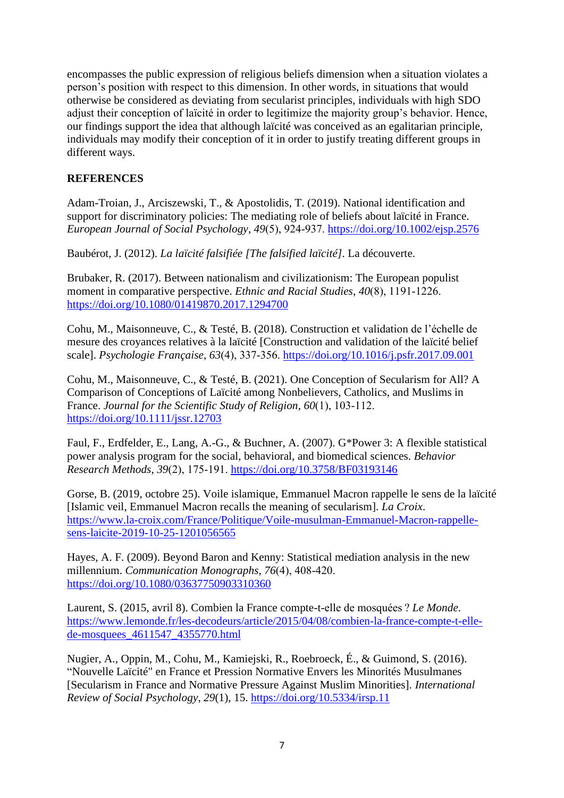encompasses the public expression of religious beliefs dimension when a situation violates a person's position with respect to this dimension. In other words, in situations that would otherwise be considered as deviating from secularist principles, individuals with high SDO adjust their conception of laïcité in order to legitimize the majority group's behavior. Hence, our findings support the idea that although laïcité was conceived as an egalitarian principle, individuals may modify their conception of it in order to justify treating different groups in different ways.

# **REFERENCES**

Adam-Troian, J., Arciszewski, T., & Apostolidis, T. (2019). National identification and support for discriminatory policies: The mediating role of beliefs about laïcité in France. *European Journal of Social Psychology*, *49*(5), 924‑937.<https://doi.org/10.1002/ejsp.2576>

Baubérot, J. (2012). *La laïcité falsifiée [The falsified laïcité]*. La découverte.

Brubaker, R. (2017). Between nationalism and civilizationism: The European populist moment in comparative perspective. *Ethnic and Racial Studies*, *40*(8), 1191‑1226. <https://doi.org/10.1080/01419870.2017.1294700>

Cohu, M., Maisonneuve, C., & Testé, B. (2018). Construction et validation de l'échelle de mesure des croyances relatives à la laïcité [Construction and validation of the laïcité belief scale]. *Psychologie Française*, *63*(4), 337‑356.<https://doi.org/10.1016/j.psfr.2017.09.001>

Cohu, M., Maisonneuve, C., & Testé, B. (2021). One Conception of Secularism for All? A Comparison of Conceptions of Laïcité among Nonbelievers, Catholics, and Muslims in France. *Journal for the Scientific Study of Religion*, *60*(1), 103‑112. <https://doi.org/10.1111/jssr.12703>

Faul, F., Erdfelder, E., Lang, A.-G., & Buchner, A. (2007). G\*Power 3: A flexible statistical power analysis program for the social, behavioral, and biomedical sciences. *Behavior Research Methods*, *39*(2), 175‑191.<https://doi.org/10.3758/BF03193146>

Gorse, B. (2019, octobre 25). Voile islamique, Emmanuel Macron rappelle le sens de la laïcité [Islamic veil, Emmanuel Macron recalls the meaning of secularism]. *La Croix*. [https://www.la-croix.com/France/Politique/Voile-musulman-Emmanuel-Macron-rappelle](https://www.la-croix.com/France/Politique/Voile-musulman-Emmanuel-Macron-rappelle-sens-laicite-2019-10-25-1201056565)[sens-laicite-2019-10-25-1201056565](https://www.la-croix.com/France/Politique/Voile-musulman-Emmanuel-Macron-rappelle-sens-laicite-2019-10-25-1201056565)

Hayes, A. F. (2009). Beyond Baron and Kenny: Statistical mediation analysis in the new millennium. *Communication Monographs*, *76*(4), 408‑420. <https://doi.org/10.1080/03637750903310360>

Laurent, S. (2015, avril 8). Combien la France compte-t-elle de mosquées ? *Le Monde*. [https://www.lemonde.fr/les-decodeurs/article/2015/04/08/combien-la-france-compte-t-elle](https://www.lemonde.fr/les-decodeurs/article/2015/04/08/combien-la-france-compte-t-elle-de-mosquees_4611547_4355770.html)[de-mosquees\\_4611547\\_4355770.html](https://www.lemonde.fr/les-decodeurs/article/2015/04/08/combien-la-france-compte-t-elle-de-mosquees_4611547_4355770.html)

Nugier, A., Oppin, M., Cohu, M., Kamiejski, R., Roebroeck, É., & Guimond, S. (2016). "Nouvelle Laïcité" en France et Pression Normative Envers les Minorités Musulmanes [Secularism in France and Normative Pressure Against Muslim Minorities]. *International Review of Social Psychology*, *29*(1), 15.<https://doi.org/10.5334/irsp.11>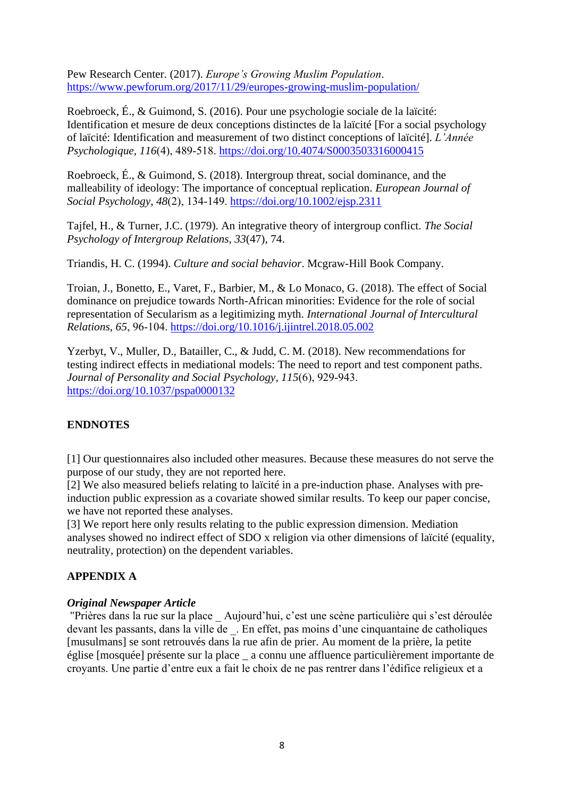Pew Research Center. (2017). *Europe's Growing Muslim Population*. <https://www.pewforum.org/2017/11/29/europes-growing-muslim-population/>

Roebroeck, É., & Guimond, S. (2016). Pour une psychologie sociale de la laïcité: Identification et mesure de deux conceptions distinctes de la laïcité [For a social psychology of laïcité: Identification and measurement of two distinct conceptions of laïcité]. *L'Année Psychologique*, *116*(4), 489‑518.<https://doi.org/10.4074/S0003503316000415>

Roebroeck, É., & Guimond, S. (2018). Intergroup threat, social dominance, and the malleability of ideology: The importance of conceptual replication. *European Journal of Social Psychology*, *48*(2), 134‑149.<https://doi.org/10.1002/ejsp.2311>

Tajfel, H., & Turner, J.C. (1979). An integrative theory of intergroup conflict. *The Social Psychology of Intergroup Relations, 33*(47), 74.

Triandis, H. C. (1994). *Culture and social behavior*. Mcgraw-Hill Book Company.

Troian, J., Bonetto, E., Varet, F., Barbier, M., & Lo Monaco, G. (2018). The effect of Social dominance on prejudice towards North-African minorities: Evidence for the role of social representation of Secularism as a legitimizing myth. *International Journal of Intercultural Relations*, *65*, 96‑104.<https://doi.org/10.1016/j.ijintrel.2018.05.002>

Yzerbyt, V., Muller, D., Batailler, C., & Judd, C. M. (2018). New recommendations for testing indirect effects in mediational models: The need to report and test component paths. *Journal of Personality and Social Psychology*, *115*(6), 929‑943. <https://doi.org/10.1037/pspa0000132>

# **ENDNOTES**

[1] Our questionnaires also included other measures. Because these measures do not serve the purpose of our study, they are not reported here.

[2] We also measured beliefs relating to laïcité in a pre-induction phase. Analyses with preinduction public expression as a covariate showed similar results. To keep our paper concise, we have not reported these analyses.

[3] We report here only results relating to the public expression dimension. Mediation analyses showed no indirect effect of SDO x religion via other dimensions of laïcité (equality, neutrality, protection) on the dependent variables.

# **APPENDIX A**

# *Original Newspaper Article*

"Prières dans la rue sur la place \_ Aujourd'hui, c'est une scène particulière qui s'est déroulée devant les passants, dans la ville de \_. En effet, pas moins d'une cinquantaine de catholiques [musulmans] se sont retrouvés dans la rue afin de prier. Au moment de la prière, la petite église [mosquée] présente sur la place \_ a connu une affluence particulièrement importante de croyants. Une partie d'entre eux a fait le choix de ne pas rentrer dans l'édifice religieux et a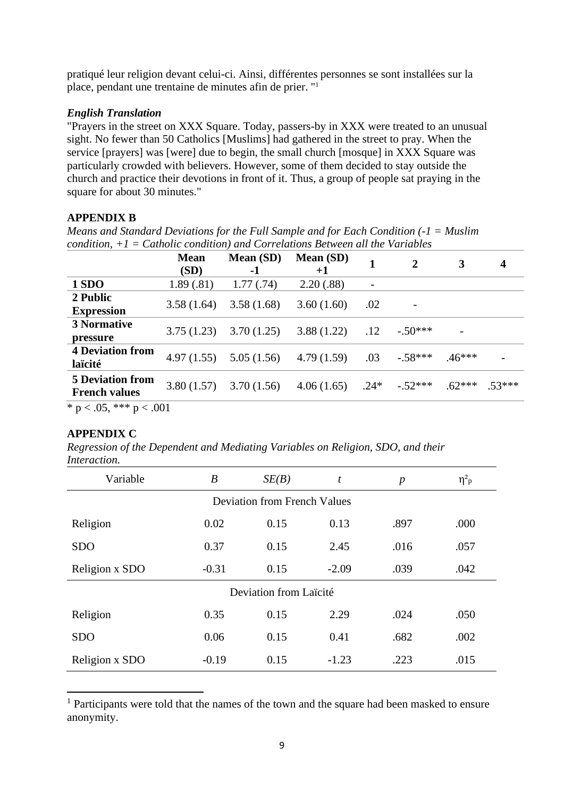pratiqué leur religion devant celui-ci. Ainsi, différentes personnes se sont installées sur la place, pendant une trentaine de minutes afin de prier. " 1

# *English Translation*

"Prayers in the street on XXX Square. Today, passers-by in XXX were treated to an unusual sight. No fewer than 50 Catholics [Muslims] had gathered in the street to pray. When the service [prayers] was [were] due to begin, the small church [mosque] in XXX Square was particularly crowded with believers. However, some of them decided to stay outside the church and practice their devotions in front of it. Thus, a group of people sat praying in the square for about 30 minutes."

# **APPENDIX B**

*Means and Standard Deviations for the Full Sample and for Each Condition (-1 = Muslim condition, +1 = Catholic condition) and Correlations Between all the Variables*

|                                                 | <b>Mean</b><br>(SD) | <b>Mean (SD)</b><br>-1 | Mean (SD)<br>$+1$ | 1                        | 2         | 3        | 4        |
|-------------------------------------------------|---------------------|------------------------|-------------------|--------------------------|-----------|----------|----------|
| 1 SDO                                           | 1.89(.81)           | 1.77(0.74)             | 2.20(.88)         | $\overline{\phantom{a}}$ |           |          |          |
| 2 Public<br><b>Expression</b>                   | 3.58(1.64)          | 3.58(1.68)             | 3.60(1.60)        | .02                      |           |          |          |
| <b>3 Normative</b><br>pressure                  | 3.75(1.23)          | 3.70(1.25)             | 3.88(1.22)        | .12                      | $-.50***$ |          |          |
| <b>4 Deviation from</b><br>laïcité              | 4.97(1.55)          | 5.05(1.56)             | 4.79(1.59)        | .03                      | $-.58***$ | $.46***$ |          |
| <b>5 Deviation from</b><br><b>French values</b> | 3.80(1.57)          | 3.70(1.56)             | 4.06(1.65)        | $.24*$                   | $-.52***$ | $.62***$ | $.53***$ |
| $* - 205$ $* * * - 201$                         |                     |                        |                   |                          |           |          |          |

\* p < .05, \*\*\* p < .001

# **APPENDIX C**

*Regression of the Dependent and Mediating Variables on Religion, SDO, and their Interaction.*

| Variable                            | $\boldsymbol{B}$ | SE(B) | t       | $\boldsymbol{p}$ | $\eta^2$ <sub>p</sub> |  |  |  |
|-------------------------------------|------------------|-------|---------|------------------|-----------------------|--|--|--|
| <b>Deviation from French Values</b> |                  |       |         |                  |                       |  |  |  |
| Religion                            | 0.02             | 0.15  | 0.13    | .897             | .000                  |  |  |  |
| <b>SDO</b>                          | 0.37             | 0.15  | 2.45    | .016             | .057                  |  |  |  |
| Religion x SDO                      | $-0.31$          | 0.15  | $-2.09$ | .039             | .042                  |  |  |  |
| Deviation from Laïcité              |                  |       |         |                  |                       |  |  |  |
| Religion                            | 0.35             | 0.15  | 2.29    | .024             | .050                  |  |  |  |
| <b>SDO</b>                          | 0.06             | 0.15  | 0.41    | .682             | .002                  |  |  |  |
| Religion x SDO                      | $-0.19$          | 0.15  | $-1.23$ | .223             | .015                  |  |  |  |

<sup>&</sup>lt;sup>1</sup> Participants were told that the names of the town and the square had been masked to ensure anonymity.